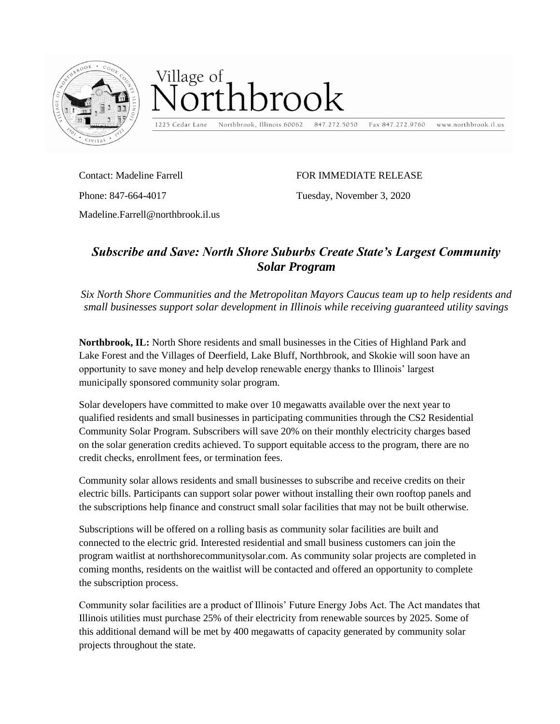

## Village of hrook

1225 Cedar Lane Northbrook, Illinois 60062

847.272.5050

www.northbrook.il.us Fax 847.272.9760

Contact: Madeline Farrell Phone: 847-664-4017

FOR IMMEDIATE RELEASE

Tuesday, November 3, 2020

Madeline.Farrell@northbrook.il.us

## *Subscribe and Save: North Shore Suburbs Create State's Largest Community Solar Program*

*Six North Shore Communities and the Metropolitan Mayors Caucus team up to help residents and small businesses support solar development in Illinois while receiving guaranteed utility savings*

**Northbrook, IL:** North Shore residents and small businesses in the Cities of Highland Park and Lake Forest and the Villages of Deerfield, Lake Bluff, Northbrook, and Skokie will soon have an opportunity to save money and help develop renewable energy thanks to Illinois' largest municipally sponsored community solar program.

Solar developers have committed to make over 10 megawatts available over the next year to qualified residents and small businesses in participating communities through the CS2 Residential Community Solar Program. Subscribers will save 20% on their monthly electricity charges based on the solar generation credits achieved. To support equitable access to the program, there are no credit checks, enrollment fees, or termination fees.

Community solar allows residents and small businesses to subscribe and receive credits on their electric bills. Participants can support solar power without installing their own rooftop panels and the subscriptions help finance and construct small solar facilities that may not be built otherwise.

Subscriptions will be offered on a rolling basis as community solar facilities are built and connected to the electric grid. Interested residential and small business customers can join the program waitlist at northshorecommunitysolar.com. As community solar projects are completed in coming months, residents on the waitlist will be contacted and offered an opportunity to complete the subscription process.

Community solar facilities are a product of Illinois' Future Energy Jobs Act. The Act mandates that Illinois utilities must purchase 25% of their electricity from renewable sources by 2025. Some of this additional demand will be met by 400 megawatts of capacity generated by community solar projects throughout the state.